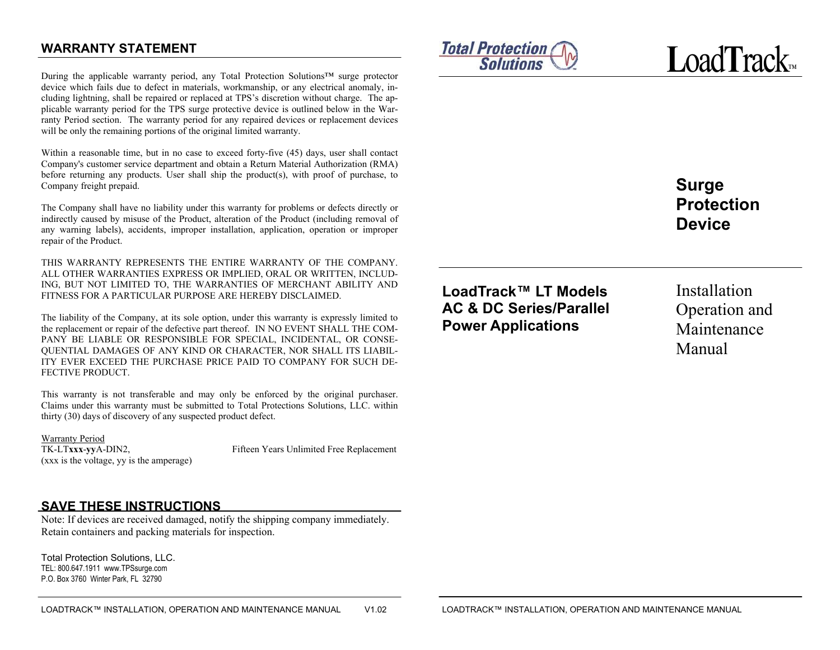# **WARRANTY STATEMENT**

During the applicable warranty period, any Total Protection Solutions™ surge protector device which fails due to defect in materials, workmanship, or any electrical anomaly, including lightning, shall be repaired or replaced at TPS's discretion without charge. The applicable warranty period for the TPS surge protective device is outlined below in the Warranty Period section. The warranty period for any repaired devices or replacement devices will be only the remaining portions of the original limited warranty.

Within a reasonable time, but in no case to exceed forty-five (45) days, user shall contact Company's customer service department and obtain a Return Material Authorization (RMA) before returning any products. User shall ship the product(s), with proof of purchase, to Company freight prepaid.

The Company shall have no liability under this warranty for problems or defects directly or indirectly caused by misuse of the Product, alteration of the Product (including removal of any warning labels), accidents, improper installation, application, operation or improper repair of the Product.

THIS WARRANTY REPRESENTS THE ENTIRE WARRANTY OF THE COMPANY. ALL OTHER WARRANTIES EXPRESS OR IMPLIED, ORAL OR WRITTEN, INCLUD-ING, BUT NOT LIMITED TO, THE WARRANTIES OF MERCHANT ABILITY AND FITNESS FOR A PARTICULAR PURPOSE ARE HEREBY DISCLAIMED.

The liability of the Company, at its sole option, under this warranty is expressly limited to the replacement or repair of the defective part thereof. IN NO EVENT SHALL THE COM-PANY BE LIABLE OR RESPONSIBLE FOR SPECIAL, INCIDENTAL, OR CONSE-QUENTIAL DAMAGES OF ANY KIND OR CHARACTER, NOR SHALL ITS LIABIL-ITY EVER EXCEED THE PURCHASE PRICE PAID TO COMPANY FOR SUCH DE-FECTIVE PRODUCT.

This warranty is not transferable and may only be enforced by the original purchaser. Claims under this warranty must be submitted to Total Protections Solutions, LLC. within thirty (30) days of discovery of any suspected product defect.

Warranty Period<br>TK-LTxxx-vyA-DIN2, (xxx is the voltage, yy is the amperage)

Fifteen Years Unlimited Free Replacement

## **SAVE THESE INSTRUCTIONS**

Note: If devices are received damaged, notify the shipping company immediately. Retain containers and packing materials for inspection.

Total Protection Solutions, LLC. TEL: 800.647.1911 www.TPSsurge.comP.O. Box 3760 Winter Park, FL 32790







**Surge Protection Device** 

**LoadTrack™ LT Models AC & DC Series/Parallel Power Applications** 

Installation Operation and Maintenance Manual